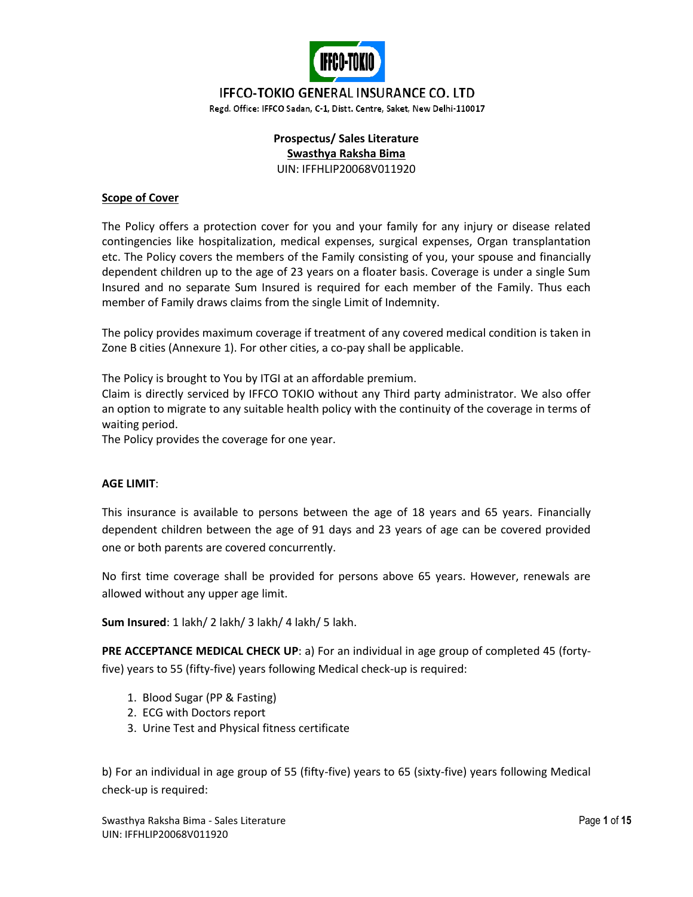

# **IFFCO-TOKIO GENERAL INSURANCE CO. LTD**

Regd. Office: IFFCO Sadan, C-1, Distt. Centre, Saket, New Delhi-110017

#### **Prospectus/ Sales Literature Swasthya Raksha Bima** UIN: IFFHLIP20068V011920

#### **Scope of Cover**

The Policy offers a protection cover for you and your family for any injury or disease related contingencies like hospitalization, medical expenses, surgical expenses, Organ transplantation etc. The Policy covers the members of the Family consisting of you, your spouse and financially dependent children up to the age of 23 years on a floater basis. Coverage is under a single Sum Insured and no separate Sum Insured is required for each member of the Family. Thus each member of Family draws claims from the single Limit of Indemnity.

The policy provides maximum coverage if treatment of any covered medical condition is taken in Zone B cities (Annexure 1). For other cities, a co-pay shall be applicable.

The Policy is brought to You by ITGI at an affordable premium.

Claim is directly serviced by IFFCO TOKIO without any Third party administrator. We also offer an option to migrate to any suitable health policy with the continuity of the coverage in terms of waiting period.

The Policy provides the coverage for one year.

#### **AGE LIMIT**:

This insurance is available to persons between the age of 18 years and 65 years. Financially dependent children between the age of 91 days and 23 years of age can be covered provided one or both parents are covered concurrently.

No first time coverage shall be provided for persons above 65 years. However, renewals are allowed without any upper age limit.

**Sum Insured**: 1 lakh/ 2 lakh/ 3 lakh/ 4 lakh/ 5 lakh.

**PRE ACCEPTANCE MEDICAL CHECK UP**: a) For an individual in age group of completed 45 (fortyfive) years to 55 (fifty-five) years following Medical check-up is required:

- 1. Blood Sugar (PP & Fasting)
- 2. ECG with Doctors report
- 3. Urine Test and Physical fitness certificate

b) For an individual in age group of 55 (fifty-five) years to 65 (sixty-five) years following Medical check-up is required: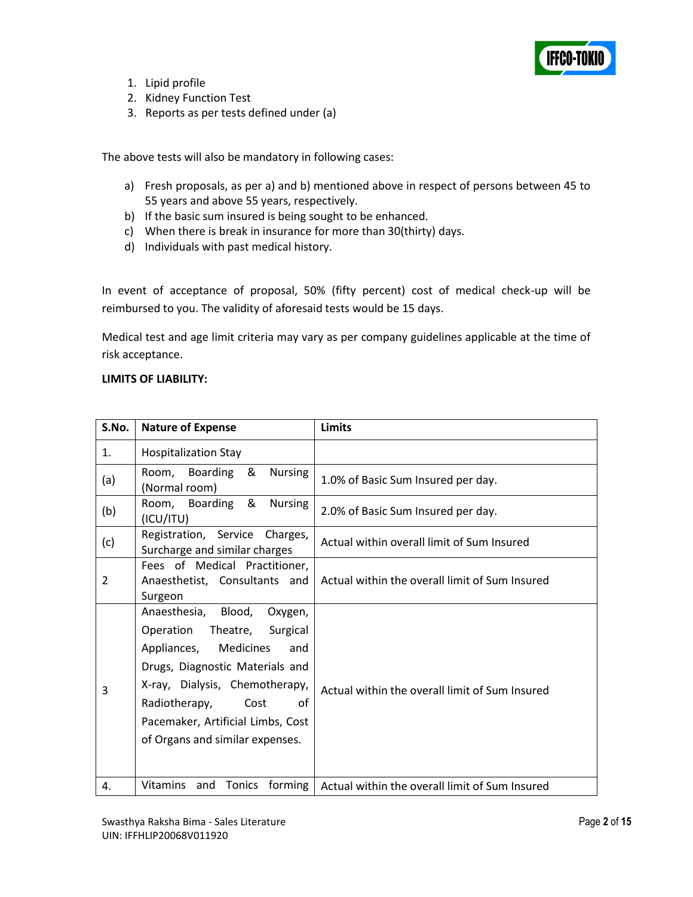

- 1. Lipid profile
- 2. Kidney Function Test
- 3. Reports as per tests defined under (a)

The above tests will also be mandatory in following cases:

- a) Fresh proposals, as per a) and b) mentioned above in respect of persons between 45 to 55 years and above 55 years, respectively.
- b) If the basic sum insured is being sought to be enhanced.
- c) When there is break in insurance for more than 30(thirty) days.
- d) Individuals with past medical history.

In event of acceptance of proposal, 50% (fifty percent) cost of medical check-up will be reimbursed to you. The validity of aforesaid tests would be 15 days.

Medical test and age limit criteria may vary as per company guidelines applicable at the time of risk acceptance.

#### **LIMITS OF LIABILITY:**

| S.No.          | <b>Nature of Expense</b>                                                                                                                                                                                                                                                           | Limits                                         |  |  |  |  |
|----------------|------------------------------------------------------------------------------------------------------------------------------------------------------------------------------------------------------------------------------------------------------------------------------------|------------------------------------------------|--|--|--|--|
| 1.             | <b>Hospitalization Stay</b>                                                                                                                                                                                                                                                        |                                                |  |  |  |  |
| (a)            | Room, Boarding<br>&<br><b>Nursing</b><br>(Normal room)                                                                                                                                                                                                                             | 1.0% of Basic Sum Insured per day.             |  |  |  |  |
| (b)            | Room, Boarding &<br><b>Nursing</b><br>(ICU/ITU)                                                                                                                                                                                                                                    | 2.0% of Basic Sum Insured per day.             |  |  |  |  |
| (c)            | Registration, Service Charges,<br>Surcharge and similar charges                                                                                                                                                                                                                    | Actual within overall limit of Sum Insured     |  |  |  |  |
| $\overline{2}$ | Fees of Medical Practitioner,<br>Anaesthetist, Consultants and<br>Surgeon                                                                                                                                                                                                          | Actual within the overall limit of Sum Insured |  |  |  |  |
| 3              | Anaesthesia,<br>Blood,<br>Oxygen,<br>Operation Theatre,<br>Surgical<br>Appliances,<br>Medicines<br>and<br>Drugs, Diagnostic Materials and<br>X-ray, Dialysis, Chemotherapy,<br>Radiotherapy,<br>Cost<br>οf<br>Pacemaker, Artificial Limbs, Cost<br>of Organs and similar expenses. | Actual within the overall limit of Sum Insured |  |  |  |  |
| 4.             | <b>Vitamins</b><br>Tonics<br>forming<br>and                                                                                                                                                                                                                                        | Actual within the overall limit of Sum Insured |  |  |  |  |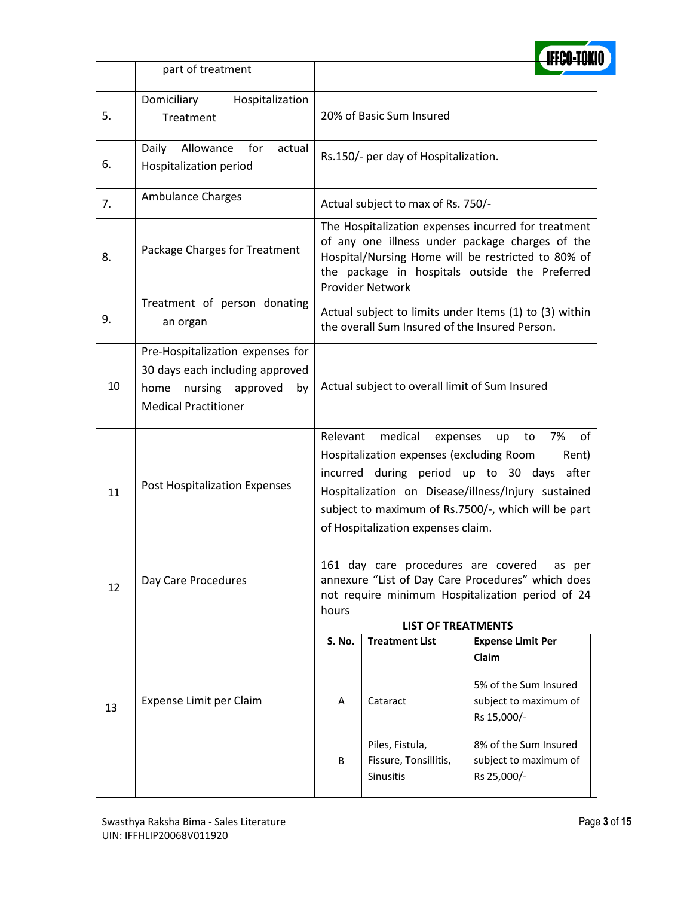|    | part of treatment                                                                                                                 |                                                                                                                                                                                                                                                                                                                |                                                       |                                                                                                                 |  |  |  |  |
|----|-----------------------------------------------------------------------------------------------------------------------------------|----------------------------------------------------------------------------------------------------------------------------------------------------------------------------------------------------------------------------------------------------------------------------------------------------------------|-------------------------------------------------------|-----------------------------------------------------------------------------------------------------------------|--|--|--|--|
| 5. | Domiciliary<br>Hospitalization<br>Treatment                                                                                       |                                                                                                                                                                                                                                                                                                                | 20% of Basic Sum Insured                              |                                                                                                                 |  |  |  |  |
| 6. | Daily<br>for<br>Allowance<br>actual<br>Hospitalization period                                                                     |                                                                                                                                                                                                                                                                                                                | Rs.150/- per day of Hospitalization.                  |                                                                                                                 |  |  |  |  |
| 7. | <b>Ambulance Charges</b>                                                                                                          |                                                                                                                                                                                                                                                                                                                | Actual subject to max of Rs. 750/-                    |                                                                                                                 |  |  |  |  |
| 8. | Package Charges for Treatment                                                                                                     | The Hospitalization expenses incurred for treatment<br>of any one illness under package charges of the<br>Hospital/Nursing Home will be restricted to 80% of<br>the package in hospitals outside the Preferred<br><b>Provider Network</b>                                                                      |                                                       |                                                                                                                 |  |  |  |  |
| 9. | Treatment of person donating<br>an organ                                                                                          | Actual subject to limits under Items (1) to (3) within<br>the overall Sum Insured of the Insured Person.                                                                                                                                                                                                       |                                                       |                                                                                                                 |  |  |  |  |
| 10 | Pre-Hospitalization expenses for<br>30 days each including approved<br>home nursing approved<br>by<br><b>Medical Practitioner</b> | Actual subject to overall limit of Sum Insured                                                                                                                                                                                                                                                                 |                                                       |                                                                                                                 |  |  |  |  |
| 11 | Post Hospitalization Expenses                                                                                                     | 7%<br>of<br>Relevant<br>medical<br>to<br>expenses<br>up<br>Hospitalization expenses (excluding Room<br>Rent)<br>incurred during period up to 30 days after<br>Hospitalization on Disease/illness/Injury sustained<br>subject to maximum of Rs.7500/-, which will be part<br>of Hospitalization expenses claim. |                                                       |                                                                                                                 |  |  |  |  |
| 12 | Day Care Procedures                                                                                                               | hours                                                                                                                                                                                                                                                                                                          | 161 day care procedures are covered                   | as per<br>annexure "List of Day Care Procedures" which does<br>not require minimum Hospitalization period of 24 |  |  |  |  |
|    |                                                                                                                                   |                                                                                                                                                                                                                                                                                                                | <b>LIST OF TREATMENTS</b>                             |                                                                                                                 |  |  |  |  |
|    |                                                                                                                                   | <b>S. No.</b>                                                                                                                                                                                                                                                                                                  | <b>Treatment List</b>                                 | <b>Expense Limit Per</b><br>Claim                                                                               |  |  |  |  |
| 13 | Expense Limit per Claim                                                                                                           | Α                                                                                                                                                                                                                                                                                                              | Cataract                                              | 5% of the Sum Insured<br>subject to maximum of<br>Rs 15,000/-                                                   |  |  |  |  |
|    |                                                                                                                                   | B                                                                                                                                                                                                                                                                                                              | Piles, Fistula,<br>Fissure, Tonsillitis,<br>Sinusitis | 8% of the Sum Insured<br>subject to maximum of<br>Rs 25,000/-                                                   |  |  |  |  |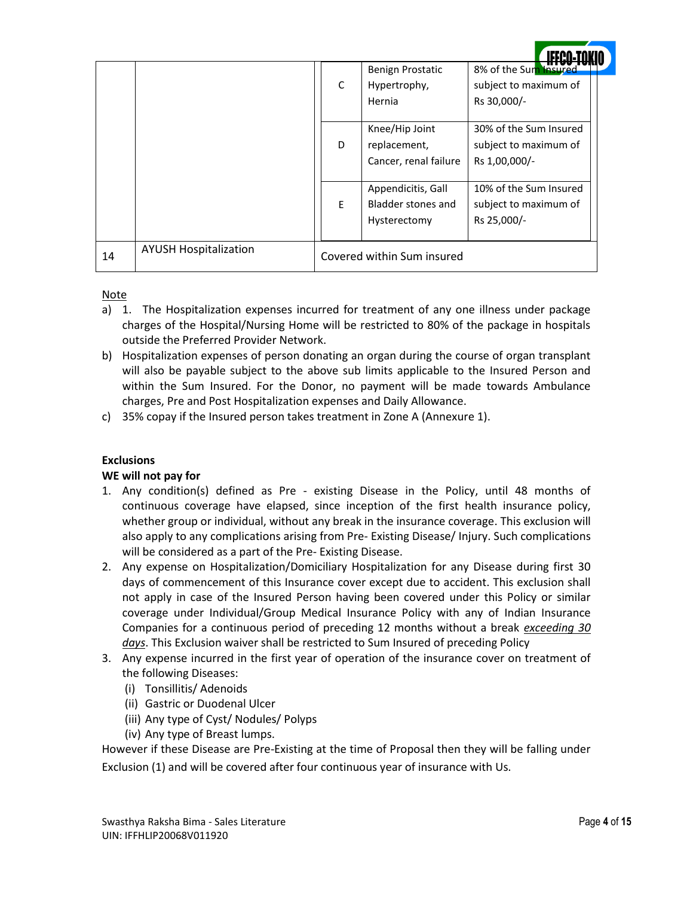|    |                              |   | Benign Prostatic           | 8% of the Sum Insured  |
|----|------------------------------|---|----------------------------|------------------------|
|    |                              | C | Hypertrophy,               | subject to maximum of  |
|    |                              |   | Hernia                     | Rs 30,000/-            |
|    |                              |   |                            |                        |
|    |                              |   | Knee/Hip Joint             | 30% of the Sum Insured |
|    |                              | D | replacement,               | subject to maximum of  |
|    |                              |   | Cancer, renal failure      | Rs 1,00,000/-          |
|    |                              |   |                            |                        |
|    |                              |   | Appendicitis, Gall         | 10% of the Sum Insured |
|    |                              | E | Bladder stones and         | subject to maximum of  |
|    |                              |   | Hysterectomy               | Rs 25,000/-            |
|    |                              |   |                            |                        |
| 14 | <b>AYUSH Hospitalization</b> |   | Covered within Sum insured |                        |

#### Note

- a) 1. The Hospitalization expenses incurred for treatment of any one illness under package charges of the Hospital/Nursing Home will be restricted to 80% of the package in hospitals outside the Preferred Provider Network.
- b) Hospitalization expenses of person donating an organ during the course of organ transplant will also be payable subject to the above sub limits applicable to the Insured Person and within the Sum Insured. For the Donor, no payment will be made towards Ambulance charges, Pre and Post Hospitalization expenses and Daily Allowance.
- c) 35% copay if the Insured person takes treatment in Zone A (Annexure 1).

# **Exclusions**

#### **WE will not pay for**

- 1. Any condition(s) defined as Pre existing Disease in the Policy, until 48 months of continuous coverage have elapsed, since inception of the first health insurance policy, whether group or individual, without any break in the insurance coverage. This exclusion will also apply to any complications arising from Pre- Existing Disease/ Injury. Such complications will be considered as a part of the Pre- Existing Disease.
- 2. Any expense on Hospitalization/Domiciliary Hospitalization for any Disease during first 30 days of commencement of this Insurance cover except due to accident. This exclusion shall not apply in case of the Insured Person having been covered under this Policy or similar coverage under Individual/Group Medical Insurance Policy with any of Indian Insurance Companies for a continuous period of preceding 12 months without a break *exceeding 30 days*. This Exclusion waiver shall be restricted to Sum Insured of preceding Policy
- 3. Any expense incurred in the first year of operation of the insurance cover on treatment of the following Diseases:
	- (i) Tonsillitis/ Adenoids
	- (ii) Gastric or Duodenal Ulcer
	- (iii) Any type of Cyst/ Nodules/ Polyps
	- (iv) Any type of Breast lumps.

However if these Disease are Pre-Existing at the time of Proposal then they will be falling under Exclusion (1) and will be covered after four continuous year of insurance with Us.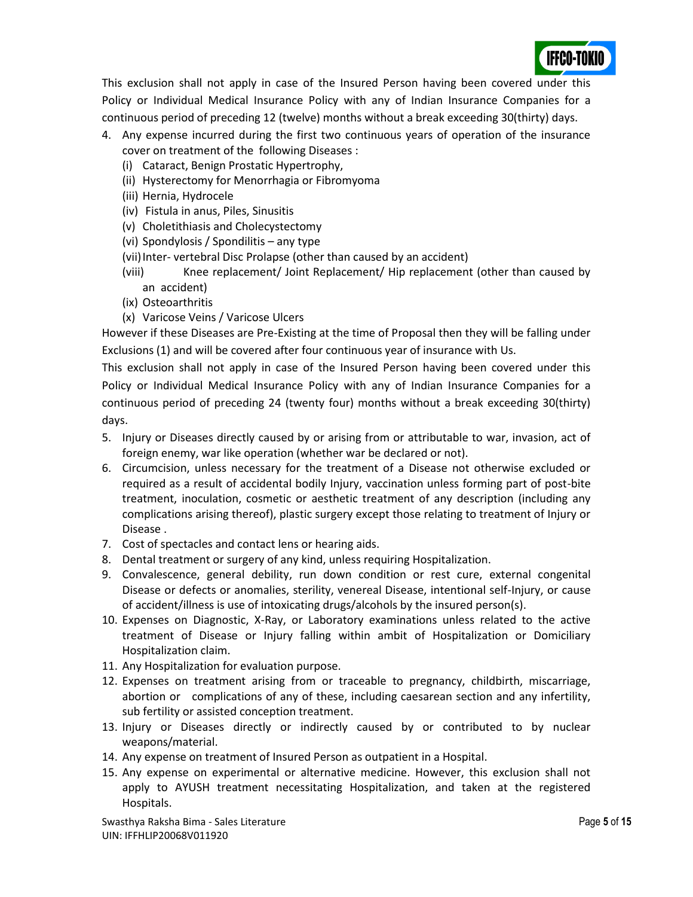

This exclusion shall not apply in case of the Insured Person having been covered under this Policy or Individual Medical Insurance Policy with any of Indian Insurance Companies for a continuous period of preceding 12 (twelve) months without a break exceeding 30(thirty) days.

- 4. Any expense incurred during the first two continuous years of operation of the insurance cover on treatment of the following Diseases :
	- (i) Cataract, Benign Prostatic Hypertrophy,
	- (ii) Hysterectomy for Menorrhagia or Fibromyoma
	- (iii) Hernia, Hydrocele
	- (iv) Fistula in anus, Piles, Sinusitis
	- (v) Choletithiasis and Cholecystectomy
	- (vi) Spondylosis / Spondilitis any type
	- (vii) Inter- vertebral Disc Prolapse (other than caused by an accident)
	- (viii) Knee replacement/ Joint Replacement/ Hip replacement (other than caused by an accident)
	- (ix) Osteoarthritis
	- (x) Varicose Veins / Varicose Ulcers

However if these Diseases are Pre-Existing at the time of Proposal then they will be falling under Exclusions (1) and will be covered after four continuous year of insurance with Us.

This exclusion shall not apply in case of the Insured Person having been covered under this Policy or Individual Medical Insurance Policy with any of Indian Insurance Companies for a continuous period of preceding 24 (twenty four) months without a break exceeding 30(thirty) days.

- 5. Injury or Diseases directly caused by or arising from or attributable to war, invasion, act of foreign enemy, war like operation (whether war be declared or not).
- 6. Circumcision, unless necessary for the treatment of a Disease not otherwise excluded or required as a result of accidental bodily Injury, vaccination unless forming part of post-bite treatment, inoculation, cosmetic or aesthetic treatment of any description (including any complications arising thereof), plastic surgery except those relating to treatment of Injury or Disease .
- 7. Cost of spectacles and contact lens or hearing aids.
- 8. Dental treatment or surgery of any kind, unless requiring Hospitalization.
- 9. Convalescence, general debility, run down condition or rest cure, external congenital Disease or defects or anomalies, sterility, venereal Disease, intentional self-Injury, or cause of accident/illness is use of intoxicating drugs/alcohols by the insured person(s).
- 10. Expenses on Diagnostic, X-Ray, or Laboratory examinations unless related to the active treatment of Disease or Injury falling within ambit of Hospitalization or Domiciliary Hospitalization claim.
- 11. Any Hospitalization for evaluation purpose.
- 12. Expenses on treatment arising from or traceable to pregnancy, childbirth, miscarriage, abortion or complications of any of these, including caesarean section and any infertility, sub fertility or assisted conception treatment.
- 13. Injury or Diseases directly or indirectly caused by or contributed to by nuclear weapons/material.
- 14. Any expense on treatment of Insured Person as outpatient in a Hospital.
- 15. Any expense on experimental or alternative medicine. However, this exclusion shall not apply to AYUSH treatment necessitating Hospitalization, and taken at the registered Hospitals.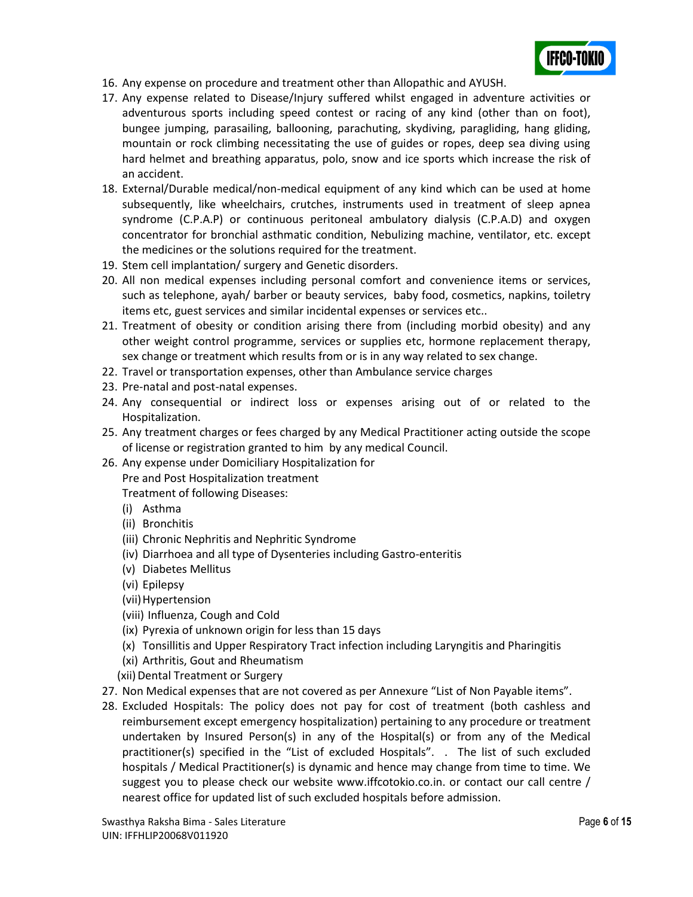

- 16. Any expense on procedure and treatment other than Allopathic and AYUSH.
- 17. Any expense related to Disease/Injury suffered whilst engaged in adventure activities or adventurous sports including speed contest or racing of any kind (other than on foot), bungee jumping, parasailing, ballooning, parachuting, skydiving, paragliding, hang gliding, mountain or rock climbing necessitating the use of guides or ropes, deep sea diving using hard helmet and breathing apparatus, polo, snow and ice sports which increase the risk of an accident.
- 18. External/Durable medical/non-medical equipment of any kind which can be used at home subsequently, like wheelchairs, crutches, instruments used in treatment of sleep apnea syndrome (C.P.A.P) or continuous peritoneal ambulatory dialysis (C.P.A.D) and oxygen concentrator for bronchial asthmatic condition, Nebulizing machine, ventilator, etc. except the medicines or the solutions required for the treatment.
- 19. Stem cell implantation/ surgery and Genetic disorders.
- 20. All non medical expenses including personal comfort and convenience items or services, such as telephone, ayah/ barber or beauty services, baby food, cosmetics, napkins, toiletry items etc, guest services and similar incidental expenses or services etc..
- 21. Treatment of obesity or condition arising there from (including morbid obesity) and any other weight control programme, services or supplies etc, hormone replacement therapy, sex change or treatment which results from or is in any way related to sex change.
- 22. Travel or transportation expenses, other than Ambulance service charges
- 23. Pre-natal and post-natal expenses.
- 24. Any consequential or indirect loss or expenses arising out of or related to the Hospitalization.
- 25. Any treatment charges or fees charged by any Medical Practitioner acting outside the scope of license or registration granted to him by any medical Council.
- 26. Any expense under Domiciliary Hospitalization for

Pre and Post Hospitalization treatment

Treatment of following Diseases:

- (i) Asthma
- (ii) Bronchitis
- (iii) Chronic Nephritis and Nephritic Syndrome
- (iv) Diarrhoea and all type of Dysenteries including Gastro-enteritis
- (v) Diabetes Mellitus
- (vi) Epilepsy
- (vii) Hypertension
- (viii) Influenza, Cough and Cold
- (ix) Pyrexia of unknown origin for less than 15 days
- (x) Tonsillitis and Upper Respiratory Tract infection including Laryngitis and Pharingitis
- (xi) Arthritis, Gout and Rheumatism
- (xii) Dental Treatment or Surgery
- 27. Non Medical expenses that are not covered as per Annexure "List of Non Payable items".
- 28. Excluded Hospitals: The policy does not pay for cost of treatment (both cashless and reimbursement except emergency hospitalization) pertaining to any procedure or treatment undertaken by Insured Person(s) in any of the Hospital(s) or from any of the Medical practitioner(s) specified in the "List of excluded Hospitals". . The list of such excluded hospitals / Medical Practitioner(s) is dynamic and hence may change from time to time. We suggest you to please check our website www.iffcotokio.co.in. or contact our call centre / nearest office for updated list of such excluded hospitals before admission.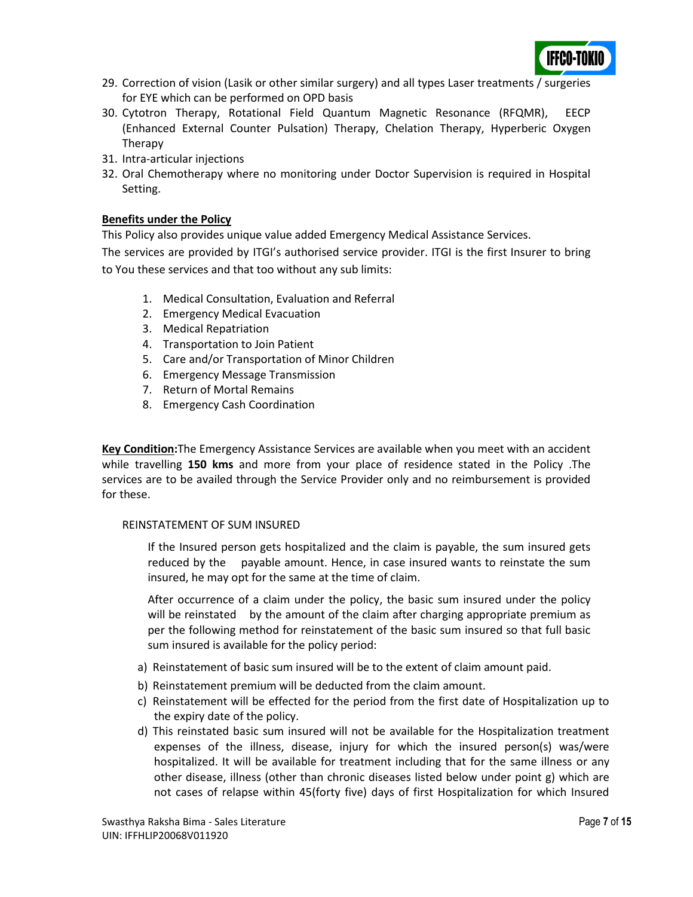

- 29. Correction of vision (Lasik or other similar surgery) and all types Laser treatments / surgeries for EYE which can be performed on OPD basis
- 30. Cytotron Therapy, Rotational Field Quantum Magnetic Resonance (RFQMR), EECP (Enhanced External Counter Pulsation) Therapy, Chelation Therapy, Hyperberic Oxygen Therapy
- 31. Intra-articular injections
- 32. Oral Chemotherapy where no monitoring under Doctor Supervision is required in Hospital Setting.

#### **Benefits under the Policy**

This Policy also provides unique value added Emergency Medical Assistance Services.

The services are provided by ITGI's authorised service provider. ITGI is the first Insurer to bring to You these services and that too without any sub limits:

- 1. Medical Consultation, Evaluation and Referral
- 2. Emergency Medical Evacuation
- 3. Medical Repatriation
- 4. Transportation to Join Patient
- 5. Care and/or Transportation of Minor Children
- 6. Emergency Message Transmission
- 7. Return of Mortal Remains
- 8. Emergency Cash Coordination

**Key Condition:**The Emergency Assistance Services are available when you meet with an accident while travelling **150 kms** and more from your place of residence stated in the Policy .The services are to be availed through the Service Provider only and no reimbursement is provided for these.

#### REINSTATEMENT OF SUM INSURED

If the Insured person gets hospitalized and the claim is payable, the sum insured gets reduced by the payable amount. Hence, in case insured wants to reinstate the sum insured, he may opt for the same at the time of claim.

After occurrence of a claim under the policy, the basic sum insured under the policy will be reinstated by the amount of the claim after charging appropriate premium as per the following method for reinstatement of the basic sum insured so that full basic sum insured is available for the policy period:

- a) Reinstatement of basic sum insured will be to the extent of claim amount paid.
- b) Reinstatement premium will be deducted from the claim amount.
- c) Reinstatement will be effected for the period from the first date of Hospitalization up to the expiry date of the policy.
- d) This reinstated basic sum insured will not be available for the Hospitalization treatment expenses of the illness, disease, injury for which the insured person(s) was/were hospitalized. It will be available for treatment including that for the same illness or any other disease, illness (other than chronic diseases listed below under point g) which are not cases of relapse within 45(forty five) days of first Hospitalization for which Insured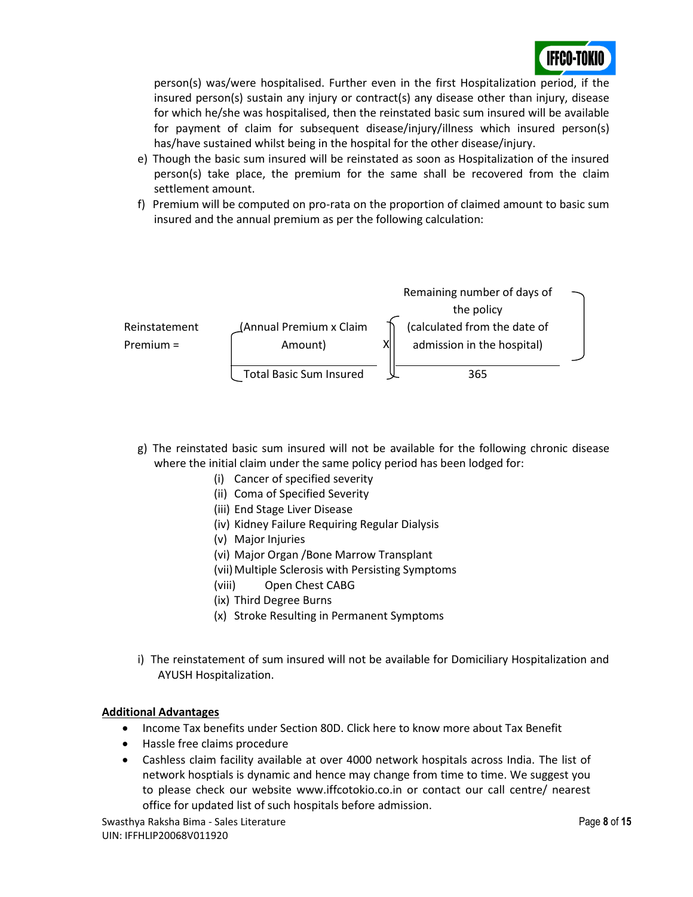

person(s) was/were hospitalised. Further even in the first Hospitalization period, if the insured person(s) sustain any injury or contract(s) any disease other than injury, disease for which he/she was hospitalised, then the reinstated basic sum insured will be available for payment of claim for subsequent disease/injury/illness which insured person(s) has/have sustained whilst being in the hospital for the other disease/injury.

- e) Though the basic sum insured will be reinstated as soon as Hospitalization of the insured person(s) take place, the premium for the same shall be recovered from the claim settlement amount.
- f) Premium will be computed on pro-rata on the proportion of claimed amount to basic sum insured and the annual premium as per the following calculation:



- g) The reinstated basic sum insured will not be available for the following chronic disease where the initial claim under the same policy period has been lodged for:
	- (i) Cancer of specified severity
	- (ii) Coma of Specified Severity
	- (iii) End Stage Liver Disease
	- (iv) Kidney Failure Requiring Regular Dialysis
	- (v) Major Injuries
	- (vi) Major Organ /Bone Marrow Transplant
	- (vii) Multiple Sclerosis with Persisting Symptoms
	- (viii) Open Chest CABG
	- (ix) Third Degree Burns
	- (x) Stroke Resulting in Permanent Symptoms
- i) The reinstatement of sum insured will not be available for Domiciliary Hospitalization and AYUSH Hospitalization.

#### **Additional Advantages**

- Income Tax benefits under Section 80D. [Click here](http://www.icicilombard.com/app/ilom-en/PersonalProducts/Health/floater.aspx) to know more about Tax Benefit
- Hassle free claims procedure
- Cashless claim facility available at over 4000 network hospitals across India. The list of network hosptials is dynamic and hence may change from time to time. We suggest you to please check our website www.iffcotokio.co.in or contact our call centre/ nearest office for updated list of such hospitals before admission.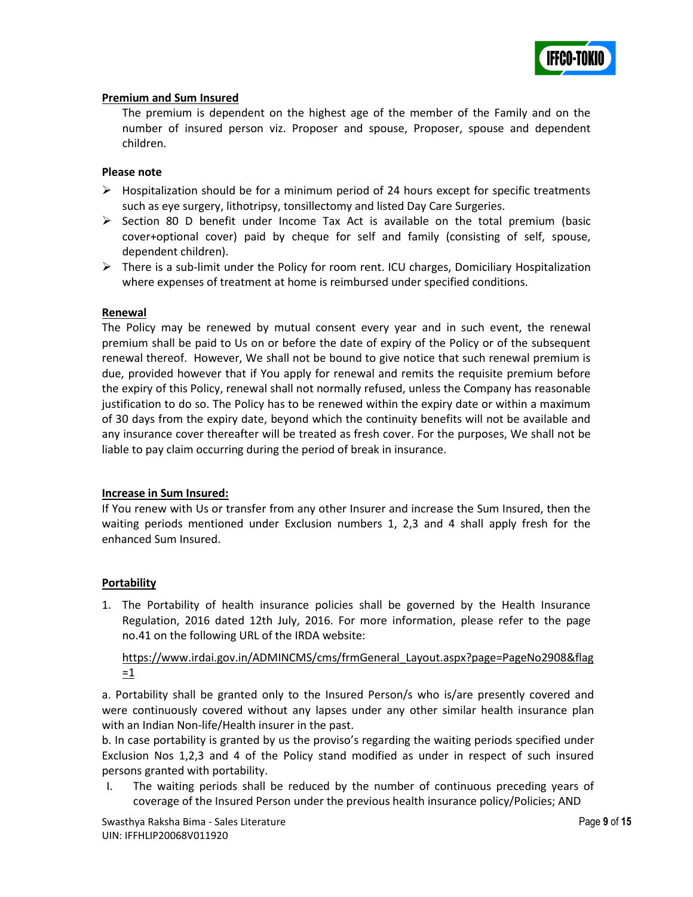

#### **Premium and Sum Insured**

The premium is dependent on the highest age of the member of the Family and on the number of insured person viz. Proposer and spouse, Proposer, spouse and dependent children.

#### **Please note**

- $\triangleright$  Hospitalization should be for a minimum period of 24 hours except for specific treatments such as eye surgery, lithotripsy, tonsillectomy and listed Day Care Surgeries.
- $\triangleright$  Section 80 D benefit under Income Tax Act is available on the total premium (basic cover+optional cover) paid by cheque for self and family (consisting of self, spouse, dependent children).
- $\triangleright$  There is a sub-limit under the Policy for room rent. ICU charges, Domiciliary Hospitalization where expenses of treatment at home is reimbursed under specified conditions.

#### **Renewal**

The Policy may be renewed by mutual consent every year and in such event, the renewal premium shall be paid to Us on or before the date of expiry of the Policy or of the subsequent renewal thereof. However, We shall not be bound to give notice that such renewal premium is due, provided however that if You apply for renewal and remits the requisite premium before the expiry of this Policy, renewal shall not normally refused, unless the Company has reasonable justification to do so. The Policy has to be renewed within the expiry date or within a maximum of 30 days from the expiry date, beyond which the continuity benefits will not be available and any insurance cover thereafter will be treated as fresh cover. For the purposes, We shall not be liable to pay claim occurring during the period of break in insurance.

#### **Increase in Sum Insured:**

If You renew with Us or transfer from any other Insurer and increase the Sum Insured, then the waiting periods mentioned under Exclusion numbers 1, 2,3 and 4 shall apply fresh for the enhanced Sum Insured.

#### **Portability**

1. The Portability of health insurance policies shall be governed by the Health Insurance Regulation, 2016 dated 12th July, 2016. For more information, please refer to the page no.41 on the following URL of the IRDA website:

https://www.irdai.gov.in/ADMINCMS/cms/frmGeneral\_Layout.aspx?page=PageNo2908&flag  $=1$ 

a. Portability shall be granted only to the Insured Person/s who is/are presently covered and were continuously covered without any lapses under any other similar health insurance plan with an Indian Non-life/Health insurer in the past.

b. In case portability is granted by us the proviso's regarding the waiting periods specified under Exclusion Nos 1,2,3 and 4 of the Policy stand modified as under in respect of such insured persons granted with portability.

I. The waiting periods shall be reduced by the number of continuous preceding years of coverage of the Insured Person under the previous health insurance policy/Policies; AND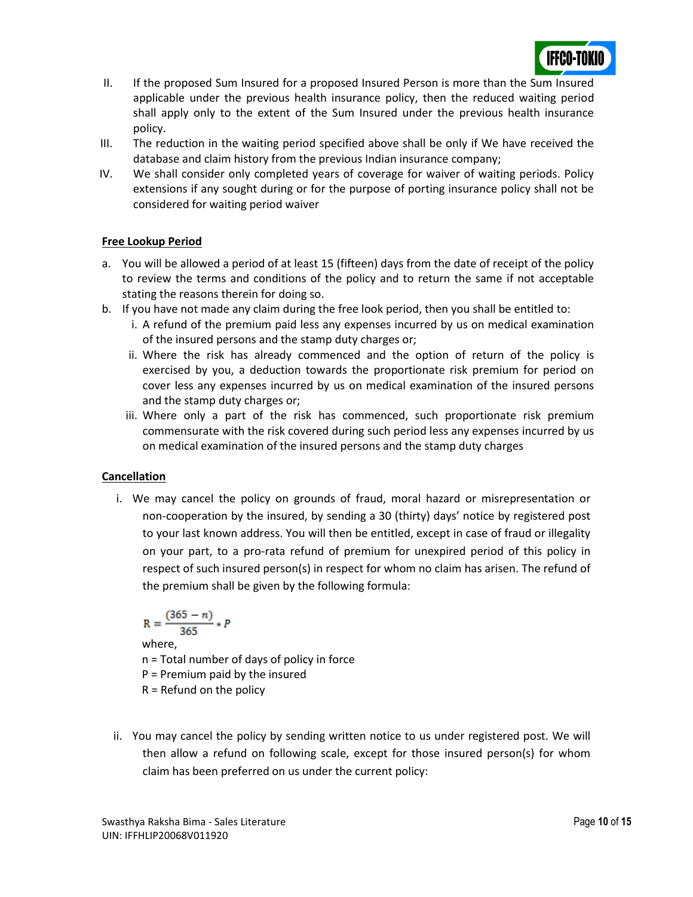

- II. If the proposed Sum Insured for a proposed Insured Person is more than the Sum Insured applicable under the previous health insurance policy, then the reduced waiting period shall apply only to the extent of the Sum Insured under the previous health insurance policy.
- III. The reduction in the waiting period specified above shall be only if We have received the database and claim history from the previous Indian insurance company;
- IV. We shall consider only completed years of coverage for waiver of waiting periods. Policy extensions if any sought during or for the purpose of porting insurance policy shall not be considered for waiting period waiver

#### **Free Lookup Period**

- a. You will be allowed a period of at least 15 (fifteen) days from the date of receipt of the policy to review the terms and conditions of the policy and to return the same if not acceptable stating the reasons therein for doing so.
- b. If you have not made any claim during the free look period, then you shall be entitled to:
	- i. A refund of the premium paid less any expenses incurred by us on medical examination of the insured persons and the stamp duty charges or;
	- ii. Where the risk has already commenced and the option of return of the policy is exercised by you, a deduction towards the proportionate risk premium for period on cover less any expenses incurred by us on medical examination of the insured persons and the stamp duty charges or;
	- iii. Where only a part of the risk has commenced, such proportionate risk premium commensurate with the risk covered during such period less any expenses incurred by us on medical examination of the insured persons and the stamp duty charges

# **Cancellation**

i. We may cancel the policy on grounds of fraud, moral hazard or misrepresentation or non‐cooperation by the insured, by sending a 30 (thirty) days' notice by registered post to your last known address. You will then be entitled, except in case of fraud or illegality on your part, to a pro-rata refund of premium for unexpired period of this policy in respect of such insured person(s) in respect for whom no claim has arisen. The refund of the premium shall be given by the following formula:

$$
R=\frac{(365-n)}{365}*P
$$

where,

- n = Total number of days of policy in force
- P = Premium paid by the insured
- $R =$  Refund on the policy
- ii. You may cancel the policy by sending written notice to us under registered post. We will then allow a refund on following scale, except for those insured person(s) for whom claim has been preferred on us under the current policy: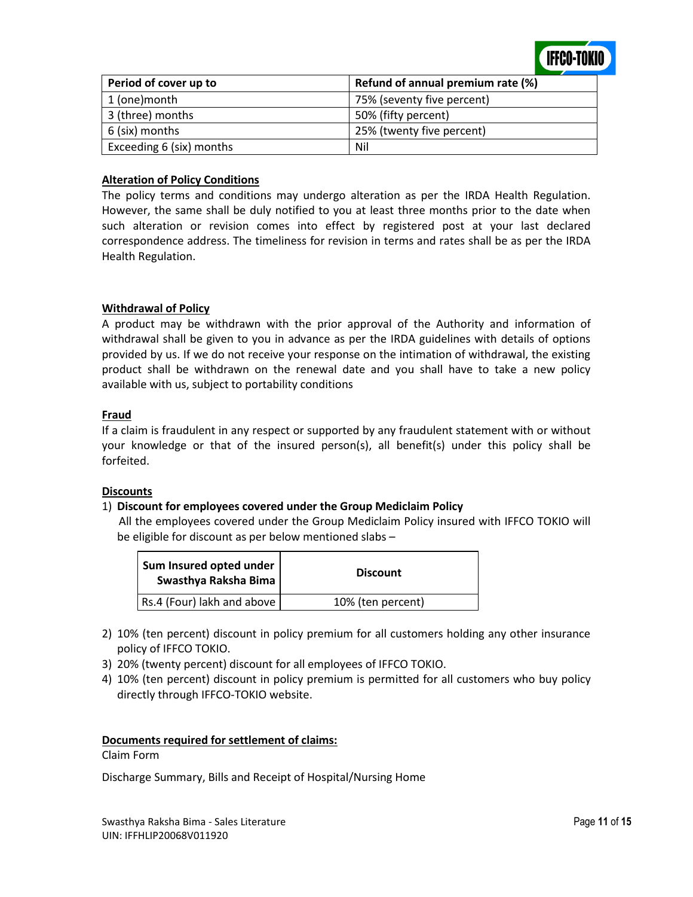

| Period of cover up to    | Refund of annual premium rate (%) |
|--------------------------|-----------------------------------|
| 1 (one)month             | 75% (seventy five percent)        |
| 3 (three) months         | 50% (fifty percent)               |
| 6 (six) months           | 25% (twenty five percent)         |
| Exceeding 6 (six) months | Nil                               |

#### **Alteration of Policy Conditions**

The policy terms and conditions may undergo alteration as per the IRDA Health Regulation. However, the same shall be duly notified to you at least three months prior to the date when such alteration or revision comes into effect by registered post at your last declared correspondence address. The timeliness for revision in terms and rates shall be as per the IRDA Health Regulation.

#### **Withdrawal of Policy**

A product may be withdrawn with the prior approval of the Authority and information of withdrawal shall be given to you in advance as per the IRDA guidelines with details of options provided by us. If we do not receive your response on the intimation of withdrawal, the existing product shall be withdrawn on the renewal date and you shall have to take a new policy available with us, subject to portability conditions

#### **Fraud**

If a claim is fraudulent in any respect or supported by any fraudulent statement with or without your knowledge or that of the insured person(s), all benefit(s) under this policy shall be forfeited.

#### **Discounts**

#### 1) **Discount for employees covered under the Group Mediclaim Policy**

 All the employees covered under the Group Mediclaim Policy insured with IFFCO TOKIO will be eligible for discount as per below mentioned slabs –

| Sum Insured opted under<br>Swasthya Raksha Bima | <b>Discount</b>   |
|-------------------------------------------------|-------------------|
| Rs.4 (Four) lakh and above                      | 10% (ten percent) |

- 2) 10% (ten percent) discount in policy premium for all customers holding any other insurance policy of IFFCO TOKIO.
- 3) 20% (twenty percent) discount for all employees of IFFCO TOKIO.
- 4) 10% (ten percent) discount in policy premium is permitted for all customers who buy policy directly through IFFCO-TOKIO website.

#### **Documents required for settlement of claims:**

#### Claim Form

Discharge Summary, Bills and Receipt of Hospital/Nursing Home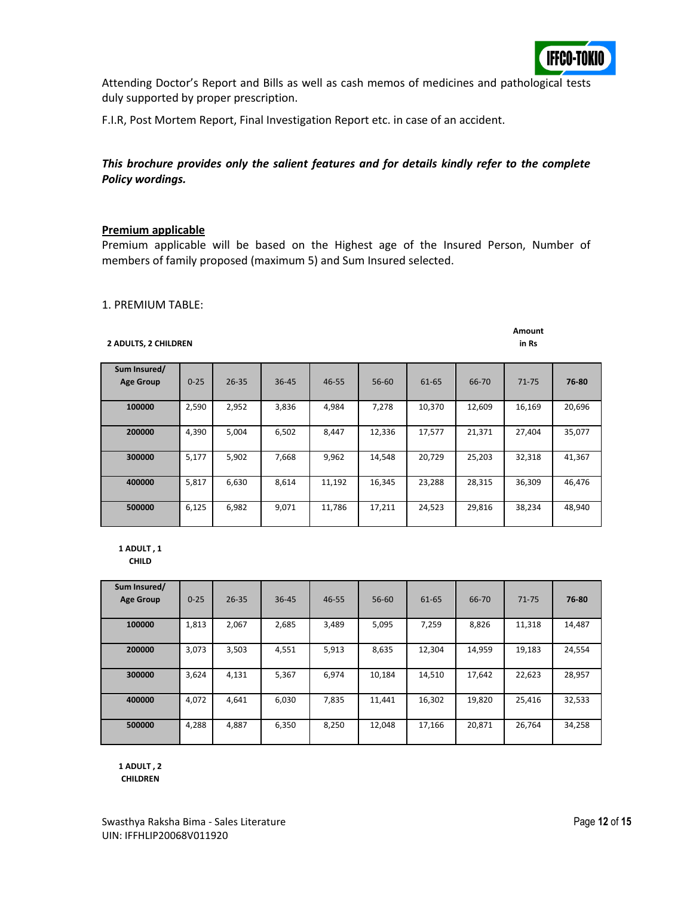

Attending Doctor's Report and Bills as well as cash memos of medicines and pathological tests duly supported by proper prescription.

F.I.R, Post Mortem Report, Final Investigation Report etc. in case of an accident.

### *This brochure provides only the salient features and for details kindly refer to the complete Policy wordings.*

#### **Premium applicable**

Premium applicable will be based on the Highest age of the Insured Person, Number of members of family proposed (maximum 5) and Sum Insured selected.

#### 1. PREMIUM TABLE:

#### **Amount in Rs**

#### **2 ADULTS, 2 CHILDREN**

| Sum Insured/<br><b>Age Group</b> | $0 - 25$ | $26 - 35$ | $36 - 45$ | $46 - 55$ | 56-60  | 61-65  | 66-70  | $71 - 75$ | 76-80  |
|----------------------------------|----------|-----------|-----------|-----------|--------|--------|--------|-----------|--------|
| 100000                           | 2,590    | 2,952     | 3,836     | 4,984     | 7,278  | 10,370 | 12,609 | 16,169    | 20,696 |
| 200000                           | 4,390    | 5.004     | 6.502     | 8.447     | 12.336 | 17.577 | 21,371 | 27.404    | 35,077 |
| 300000                           | 5,177    | 5,902     | 7.668     | 9,962     | 14,548 | 20.729 | 25,203 | 32,318    | 41,367 |
| 400000                           | 5,817    | 6,630     | 8.614     | 11,192    | 16,345 | 23.288 | 28,315 | 36,309    | 46,476 |
| 500000                           | 6,125    | 6,982     | 9,071     | 11,786    | 17,211 | 24,523 | 29,816 | 38,234    | 48,940 |

**1 ADULT , 1 CHILD**

| Sum Insured/<br><b>Age Group</b> | $0 - 25$ | $26 - 35$ | $36 - 45$ | 46-55 | 56-60  | 61-65  | 66-70  | $71 - 75$ | 76-80  |
|----------------------------------|----------|-----------|-----------|-------|--------|--------|--------|-----------|--------|
| 100000                           | 1,813    | 2,067     | 2,685     | 3,489 | 5,095  | 7,259  | 8,826  | 11,318    | 14,487 |
| 200000                           | 3,073    | 3,503     | 4,551     | 5,913 | 8,635  | 12.304 | 14,959 | 19,183    | 24,554 |
| 300000                           | 3,624    | 4.131     | 5.367     | 6.974 | 10,184 | 14.510 | 17.642 | 22.623    | 28,957 |
| 400000                           | 4.072    | 4.641     | 6.030     | 7,835 | 11,441 | 16,302 | 19,820 | 25,416    | 32,533 |
| 500000                           | 4,288    | 4,887     | 6,350     | 8,250 | 12,048 | 17,166 | 20,871 | 26,764    | 34,258 |

**1 ADULT , 2**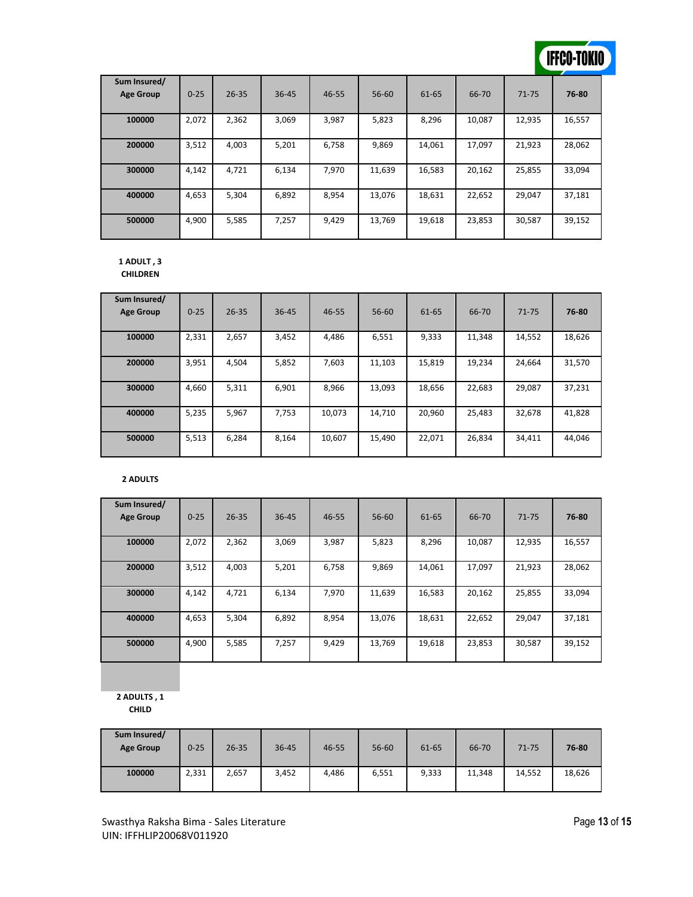# **IFFCO-TOKIO**

| Sum Insured/<br><b>Age Group</b> | $0 - 25$ | $26 - 35$ | $36 - 45$ | $46 - 55$ | $56 - 60$ | 61-65  | 66-70  | $71 - 75$ | 76-80  |
|----------------------------------|----------|-----------|-----------|-----------|-----------|--------|--------|-----------|--------|
| 100000                           | 2,072    | 2,362     | 3,069     | 3,987     | 5,823     | 8,296  | 10,087 | 12,935    | 16,557 |
| 200000                           | 3,512    | 4,003     | 5,201     | 6,758     | 9,869     | 14,061 | 17,097 | 21,923    | 28,062 |
| 300000                           | 4.142    | 4,721     | 6,134     | 7.970     | 11,639    | 16,583 | 20,162 | 25,855    | 33,094 |
| 400000                           | 4,653    | 5,304     | 6,892     | 8,954     | 13.076    | 18,631 | 22,652 | 29.047    | 37,181 |
| 500000                           | 4,900    | 5,585     | 7.257     | 9,429     | 13.769    | 19,618 | 23,853 | 30,587    | 39,152 |

#### **1 ADULT , 3 CHILDREN**

| Sum Insured/<br><b>Age Group</b> | $0 - 25$ | $26 - 35$ | 36-45 | 46-55  | 56-60  | 61-65  | 66-70  | $71 - 75$ | 76-80  |
|----------------------------------|----------|-----------|-------|--------|--------|--------|--------|-----------|--------|
| 100000                           | 2,331    | 2,657     | 3,452 | 4,486  | 6,551  | 9,333  | 11,348 | 14,552    | 18,626 |
| 200000                           | 3,951    | 4,504     | 5,852 | 7,603  | 11,103 | 15,819 | 19,234 | 24,664    | 31,570 |
| 300000                           | 4,660    | 5,311     | 6.901 | 8,966  | 13,093 | 18,656 | 22,683 | 29,087    | 37,231 |
| 400000                           | 5,235    | 5,967     | 7,753 | 10,073 | 14,710 | 20,960 | 25,483 | 32,678    | 41,828 |
| 500000                           | 5,513    | 6,284     | 8,164 | 10,607 | 15,490 | 22,071 | 26,834 | 34,411    | 44,046 |

#### **2 ADULTS**

| Sum Insured/     |          |           |       |           |        |        |        |           |        |
|------------------|----------|-----------|-------|-----------|--------|--------|--------|-----------|--------|
| <b>Age Group</b> | $0 - 25$ | $26 - 35$ | 36-45 | $46 - 55$ | 56-60  | 61-65  | 66-70  | $71 - 75$ | 76-80  |
|                  |          |           |       |           |        |        |        |           |        |
| 100000           | 2,072    | 2,362     | 3,069 | 3,987     | 5,823  | 8,296  | 10,087 | 12,935    | 16,557 |
| 200000           | 3,512    | 4,003     | 5,201 | 6,758     | 9,869  | 14.061 | 17,097 | 21,923    | 28,062 |
| 300000           | 4,142    | 4,721     | 6,134 | 7,970     | 11,639 | 16,583 | 20,162 | 25,855    | 33,094 |
| 400000           | 4,653    | 5,304     | 6,892 | 8.954     | 13.076 | 18.631 | 22,652 | 29,047    | 37,181 |
| 500000           | 4.900    | 5,585     | 7.257 | 9,429     | 13.769 | 19,618 | 23,853 | 30,587    | 39,152 |

**2 ADULTS , 1 CHILD**

| Sum Insured/<br><b>Age Group</b> | $0 - 25$ | $26 - 35$ | $36 - 45$ | 46-55 | $56 - 60$ | 61-65 | 66-70  | 71-75  | 76-80  |
|----------------------------------|----------|-----------|-----------|-------|-----------|-------|--------|--------|--------|
| 100000                           | 2,331    | 2,657     | 3,452     | 4,486 | 6,551     | 9,333 | 11,348 | 14,552 | 18,626 |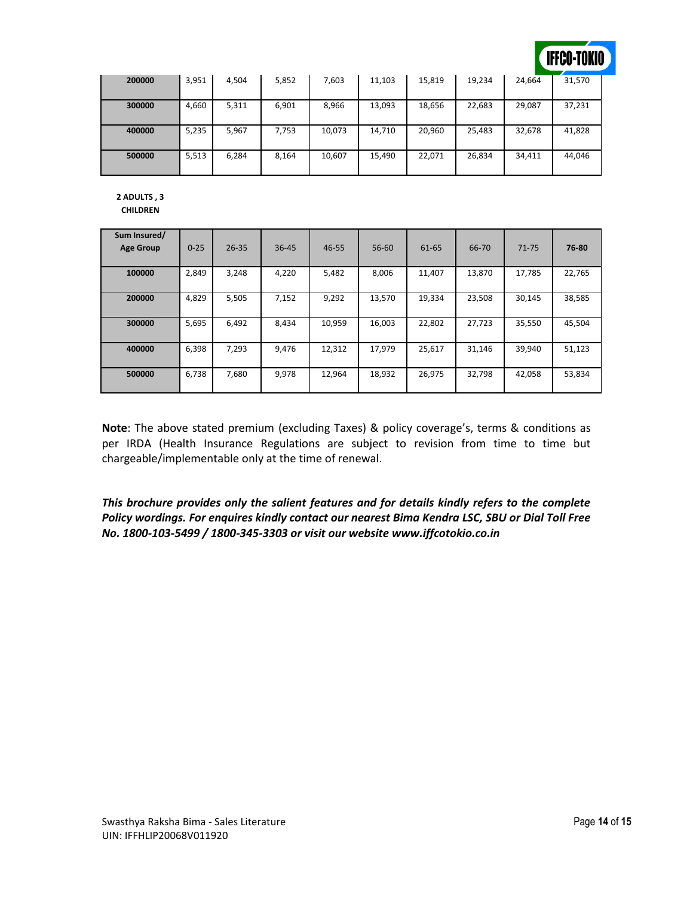

| 200000 | 3,951 | 4,504 | 5,852 | 7,603  | 11,103 | 15,819 | 19,234 | 24,664 | 31,570 |
|--------|-------|-------|-------|--------|--------|--------|--------|--------|--------|
| 300000 | 4,660 | 5,311 | 6,901 | 8,966  | 13,093 | 18,656 | 22,683 | 29,087 | 37,231 |
| 400000 | 5,235 | 5,967 | 7,753 | 10,073 | 14,710 | 20,960 | 25,483 | 32,678 | 41,828 |
| 500000 | 5,513 | 6,284 | 8,164 | 10,607 | 15,490 | 22,071 | 26,834 | 34,411 | 44,046 |

**2 ADULTS , 3** 

**CHILDREN**

| Sum Insured/<br><b>Age Group</b> | $0 - 25$ | $26 - 35$ | 36-45 | $46 - 55$ | 56-60  | 61-65  | 66-70  | $71 - 75$ | 76-80  |
|----------------------------------|----------|-----------|-------|-----------|--------|--------|--------|-----------|--------|
| 100000                           | 2,849    | 3,248     | 4,220 | 5,482     | 8,006  | 11,407 | 13,870 | 17,785    | 22,765 |
| 200000                           | 4,829    | 5,505     | 7,152 | 9,292     | 13,570 | 19,334 | 23,508 | 30,145    | 38,585 |
| 300000                           | 5,695    | 6,492     | 8,434 | 10,959    | 16,003 | 22,802 | 27,723 | 35,550    | 45,504 |
| 400000                           | 6,398    | 7,293     | 9,476 | 12,312    | 17,979 | 25,617 | 31,146 | 39,940    | 51,123 |
| 500000                           | 6,738    | 7,680     | 9,978 | 12,964    | 18,932 | 26,975 | 32,798 | 42,058    | 53,834 |

**Note**: The above stated premium (excluding Taxes) & policy coverage's, terms & conditions as per IRDA (Health Insurance Regulations are subject to revision from time to time but chargeable/implementable only at the time of renewal.

*This brochure provides only the salient features and for details kindly refers to the complete Policy wordings. For enquires kindly contact our nearest Bima Kendra LSC, SBU or Dial Toll Free No. 1800-103-5499 / 1800-345-3303 or visit our website www.iffcotokio.co.in*